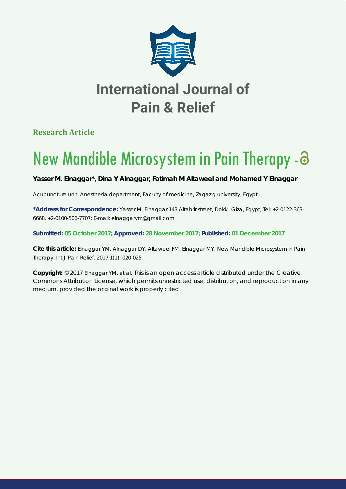

**Research Article**

# New Mandible Microsystem in Pain Therapy-

**Yasser M. Elnaggar\*, Dina Y Alnaggar, Fatimah M Altaweel and Mohamed Y Elnaggar**

*Acupuncture unit, Anesthesia department, Faculty of medicine, Zagazig university, Egypt*

**\*Address for Correspondence:** Yasser M. Elnaggar,143 Altahrir street, Dokki, Giza, Egypt, Tel: +2-0122-363- 6668, +2-0100-506-7707; E-mail: elnaggarym@gmail.com

**Submitted: 05 October 2017; Approved: 28 November 2017; Published: 01 December 2017**

**Cite this article:** Elnaggar YM, Alnaggar DY, Altaweel FM, Elnaggar MY. New Mandible Microsystem in Pain Therapy. Int J Pain Relief. 2017;1(1): 020-025.

**Copyright:** © 2017 Elnaggar YM, et al. This is an open access article distributed under the Creative Commons Attribution License, which permits unrestricted use, distribution, and reproduction in any medium, provided the original work is properly cited.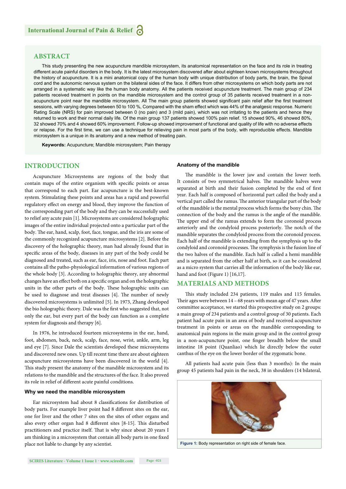## **ABSTRACT**

This study presenting the new acupuncture mandible microsystem, its anatomical representation on the face and its role in treating different acute painful disorders in the body. It is the latest microsystem discovered after about eighteen known microsystems throughout the history of acupuncture. It is a mini anatomical copy of the human body with unique distribution of body parts, the brain, the Spinal cord and the autonomic nervous system on the bilateral sides of the face. It differs from other microsystems on which body parts are not arranged in a systematic way like the human body anatomy. All the patients received acupuncture treatment. The main group of 234 patients received treatment in points on the mandible microsystem and the control group of 35 patients received treatment in a nonacupuncture point near the mandible microsystem. All The main group patients showed significant pain relief after the first treatment sessions, with varying degrees between 50 to 100 %, Compared with the sham effect which was 44% of the analgesic response. Numeric Rating Scale (NRS) for pain improved between 0 (no pain) and 3 (mild pain), which was not irritating to the patients and hence they returned to work and their normal daily life. Of the main group 137 patients showed 100% pain relief. 15 showed 90%, 46 showed 80%, 32 showed 70% and 4 showed 60% improvement. Follow-up showed improvement of functional and quality of life with no adverse effects or relapse. For the first time, we can use a technique for relieving pain in most parts of the body, with reproducible effects. Mandible microsystem is a unique in its anatomy and a new method of treating pain.

**Keywords:** Acupuncture; Mandible microsystem; Pain therapy

## **INTRODUCTION**

Acupuncture Microsystems are regions of the body that contain maps of the entire organism with specific points or areas that correspond to each part. Ear acupuncture is the best-known system. Stimulating these points and areas has a rapid and powerful regulatory effect on energy and blood, they improve the function of the corresponding part of the body and they can be successfully used to relief any acute pain [1]. Microsystems are considered holographic images of the entire individual projected onto a particular part of the body. The ear, hand, scalp, foot, face, tongue, and the iris are some of the commonly recognized acupuncture microsystems [2]. Before the discovery of the holographic theory, man had already found that in specific areas of the body, diseases in any part of the body could be diagnosed and treated, such as ear, face, iris, nose and foot. Each part contains all the patho-physiological information of various regions of the whole body [3]. According to holographic theory, any abnormal changes have an effect both on a specific organ and on the holographic units in the other parts of the body. These holographic units can be used to diagnose and treat diseases [4]. The number of newly discovered microsystems is unlimited [5]. In 1973, Zhang developed the bio holographic theory. Dale was the first who suggested that, not only the ear, but every part of the body can function as a complete system for diagnosis and therapy [6].

In 1976, he introduced fourteen microsystems in the ear, hand, foot, abdomen, back, neck, scalp, face, nose, wrist, ankle, arm, leg and eye [7]. Since Dale the scientists developed these microsystems and discovered new ones. Up till recent time there are about eighteen acupuncture microsystems have been discovered in the world [4]. This study present the anatomy of the mandible microsystem and its relations to the mandible and the structures of the face. It also proved its role in relief of different acute painful conditions.

#### **Why we need the mandible microsystem**

Ear microsystem had about 8 classifications for distribution of body parts. For example liver point had 8 different sites on the ear, one for liver and the other 7 sites on the sites of other organs and also every other organ had 8 different sites [8-15]. This disturbed practitioners and practice itself. That is why since about 20 years I am thinking in a microsystem that contain all body parts in one fixed place not liable to change by any scientist.

#### **Anatomy of the mandible**

The mandible is the lower jaw and contain the lower teeth. It consists of two symmetrical halves. The mandible halves were separated at birth and their fusion completed by the end of first year. Each half is composed of horizontal part called the body and a vertical part called the ramus. The anterior triangular part of the body of the mandible is the mental process which forms the bony chin. The connection of the body and the ramus is the angle of the mandible. The upper end of the ramus extends to form the coronoid process anteriorly and the condyloid process posteriorly. The notch of the mandible separates the condyloid process from the coronoid process. Each half of the mandible is extending from the symphysis up to the condyloid and coronoid processes. The symphysis is the fusion line of the two halves of the mandible. Each half is called a hemi mandible and is separated from the other half at birth, so it can be considered as a micro system that carries all the information of the body like ear, hand and foot (Figure 1) [16,17].

## **MATERIALS AND METHODS**

This study included 234 patients, 119 males and 115 females. Their ages were between  $14 - 68$  years with mean age of 47 years. After committee acceptance, we started this prospective study on 2 groups: a main group of 234 patients and a control group of 30 patients. Each patient had acute pain in an area of body and received acupuncture treatment in points or areas on the mandible corresponding to anatomical pain regions in the main group and in the control group in a non-acupuncture point, one finger breadth below the small intestine 18 point (Quanliao) which lie directly below the outer canthus of the eye on the lower border of the zygomatic bone.

All patients had acute pain (less than 3 months): In the main group 45 patients had pain in the neck, 38 in shoulders (14 bilateral,

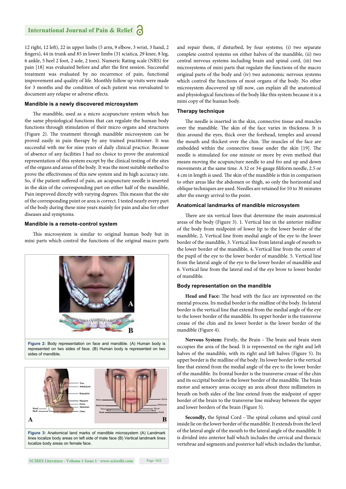12 right, 12 left), 22 in upper limbs (5 arm, 9 elbow, 3 wrist, 3 hand, 2 fingers), 44 in trunk and 85 in lower limbs (31 sciatica, 29 knee, 8 leg, 6 ankle, 5 heel 2 foot, 2 sole, 2 toes). Numeric Rating scale (NRS) for pain [18] was evaluated before and after the first session. Successful treatment was evaluated by no recurrence of pain, functional improvement and quality of life. Monthly follow up visits were made for 3 months and the condition of each patient was reevaluated to document any relapse or adverse effects.

#### **Mandible is a newly discovered microsystem**

The mandible, used as a micro acupuncture system which has the same physiological functions that can regulate the human body functions through stimulation of their micro organs and structures (Figure 2). The treatment through mandible microsystem can be proved easily in pain therapy by any trained practitioner. It was successful with me for nine years of daily clinical practice. Because of absence of any facilities I had no choice to prove the anatomical representation of this system except by the clinical testing of the sites of the organs and areas of the body. It was the most suitable method to prove the effectiveness of this new system and its high accuracy rate. So, if the patient suffered of pain, an acupuncture needle is inserted in the skin of the corresponding part on either half of the mandible, Pain improved directly with varying degrees. This means that the site of the corresponding point or area is correct. I tested nearly every part of the body during these nine years mainly for pain and also for other diseases and symptoms.

#### **Mandible is a remote-control system**

This microsystem is similar to original human body but in mini parts which control the functions of the original macro parts





**Figure 3:** Anatomical land marks of mandible microsystem (A) Landmark lines localize body areas on left side of male face (B) Vertical landmark lines localize body areas on female face.

and repair them, if disturbed, by four systems; (i) two separate complete control systems on either halves of the mandible, (ii) two central nervous systems including brain and spinal cord, (iii) two microsystems of mini parts that regulate the functions of the macro original parts of the body and (iv) two autonomic nervous systems which control the functions of most organs of the body. No other microsystem discovered up till now, can explain all the anatomical and physiological functions of the body like this system because it is a mini copy of the human body.

## **Therapy technique**

The needle is inserted in the skin, connective tissue and muscles over the mandible. The skin of the face varies in thickness. It is thin around the eyes, thick over the forehead, temples and around the mouth and thickest over the chin. The muscles of the face are embedded within the connective tissue under the skin [19]. The needle is stimulated for one minute or more by even method that means moving the acupuncture needle to and fro and up and down movements at the same time. A 32 or 34-gauge filiform needle, 2.5 or 4 cm in length is used. The skin of the mandible is thin in comparison to other areas like the abdomen or thigh, so only the horizontal and oblique techniques are used. Needles are retained for 10 to 30 minutes after the energy arrival to the point.

#### **Anatomical landmarks of mandible microsystem**

There are six vertical lines that determine the main anatomical areas of the body (Figure 3). 1. Vertical line in the anterior midline of the body from midpoint of lower lip to the lower border of the mandible, 2**.** Vertical line from medial angle of the eye to the lower border of the mandible, 3. Vertical line from lateral angle of mouth to the lower border of the mandible, 4**.** Vertical line from the center of the pupil of the eye to the lower border of mandible. 5. Vertical line from the lateral angle of the eye to the lower border of mandible and 6. Vertical line from the lateral end of the eye brow to lower border of mandible.

#### **Body representation on the mandible**

Head and Face: The head with the face are represented on the mental process. Its medial border is the midline of the body. Its lateral border is the vertical line that extend from the medial angle of the eye to the lower border of the mandible. Its upper border is the transverse crease of the chin and its lower border is the lower border of the mandible (Figure 4).

Nervous System: Firstly, the Brain - The brain and brain stem occupies the area of the head. It is represented on the right and left halves of the mandible, with its right and left halves (Figure 5). Its upper border is the midline of the body. Its lower border is the vertical line that extend from the medial angle of the eye to the lower border of the mandible. Its frontal border is the transverse crease of the chin and its occipital border is the lower border of the mandible. The brain motor and sensory areas occupy an area about three millimeters in breath on both sides of the line extend from the midpoint of upper border of the brain to the transverse line midway between the upper and lower borders of the brain (Figure 5).

**Secondly,** the Spinal Cord - The spinal column and spinal cord inside lie on the lower border of the mandible. It extends from the level of the lateral angle of the mouth to the lateral angle of the mandible. It is divided into anterior half which includes the cervical and thoracic vertebrae and segments and posterior half which includes the lumbar,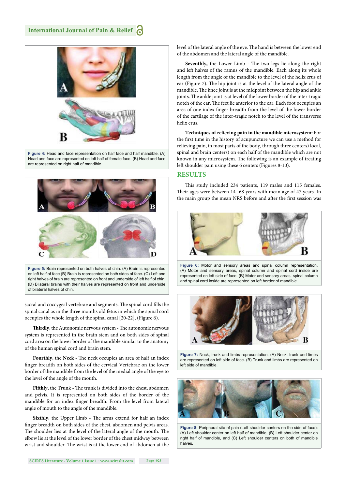

**Figure 4:** Head and face representation on half face and half mandible. (A) Head and face are represented on left half of female face. (B) Head and face are represented on right half of mandible.



sacral and coccygeal vertebrae and segments. The spinal cord fills the spinal canal as in the three months old fetus in which the spinal cord occupies the whole length of the spinal canal [20-22], (Figure 6).

Thirdly, the Autonomic nervous system - The autonomic nervous system is represented in the brain stem and on both sides of spinal cord area on the lower border of the mandible similar to the anatomy of the human spinal cord and brain stem.

Fourthly, the Neck - The neck occupies an area of half an index finger breadth on both sides of the cervical Vertebrae on the lower border of the mandible from the level of the medial angle of the eye to the level of the angle of the mouth.

Fifthly, the Trunk - The trunk is divided into the chest, abdomen and pelvis. It is represented on both sides of the border of the mandible for an index finger breadth. From the level from lateral angle of mouth to the angle of the mandible.

Sixthly, the Upper Limb - The arms extend for half an index finger breadth on both sides of the chest, abdomen and pelvis areas. The shoulder lies at the level of the lateral angle of the mouth. The elbow lie at the level of the lower border of the chest midway between wrist and shoulder. The wrist is at the lower end of abdomen at the level of the lateral angle of the eye. The hand is between the lower end of the abdomen and the lateral angle of the mandible.

**Seventhly,** the Lower Limb - The two legs lie along the right and left halves of the ramus of the mandible. Each along its whole length from the angle of the mandible to the level of the helix crus of ear (Figure 7). The hip joint is at the level of the lateral angle of the mandible. The knee joint is at the midpoint between the hip and ankle joints. The ankle joint is at level of the lower border of the inter-tragic notch of the ear. The feet lie anterior to the ear. Each foot occupies an area of one index finger breadth from the level of the lower border of the cartilage of the inter-tragic notch to the level of the transverse helix crus.

**Techniques of relieving pain in the mandible microsystem:** For the first time in the history of acupuncture we can use a method for relieving pain, in most parts of the body, through three centers) local, spinal and brain centers) on each half of the mandible which are not known in any microsystem. The following is an example of treating left shoulder pain using these 6 centers (Figures 8-10).

## **RESULTS**

This study included 234 patients, 119 males and 115 females. Their ages were between 14 -68 years with mean age of 47 years. In the main group the mean NRS before and after the first session was



**Figure 6:** Motor and sensory areas and spinal column representation. (A) Motor and sensory areas, spinal column and spinal cord inside are represented on left side of face. (B) Motor and sensory areas, spinal column and spinal cord inside are represented on left border of mandible.



**Figure 7:** Neck, trunk and limbs representation. (A) Neck, trunk and limbs are represented on left side of face. (B) Trunk and limbs are represented on left side of mandible.



**Figure 8:** Peripheral site of pain (Left shoulder centers on the side of face): (A) Left shoulder center on left half of mandible, (B) Left shoulder center on right half of mandible, and (C) Left shoulder centers on both of mandible halves.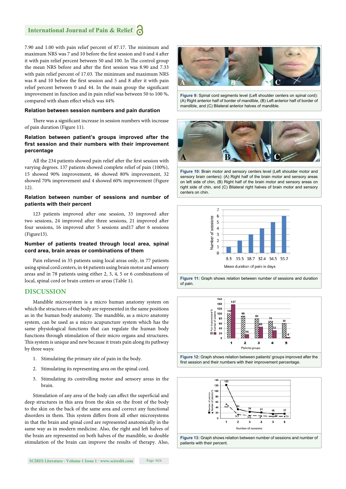## **International Journal of Pain & Relief**

7.90 and 1.00 with pain relief percent of 87.17. The minimum and maximum NRS was 7 and 10 before the first session and 0 and 4 after it with pain relief percent between 50 and 100. In The control group the mean NRS before and after the first session was 8.90 and 7.33 with pain relief percent of 17.03. The minimum and maximum NRS was 8 and 10 before the first session and 5 and 8 after it with pain relief percent between 0 and 44. In the main group the significant improvement in function and in pain relief was between 50 to 100 %, compared with sham effect which was 44%

#### **Relation between session numbers and pain duration**

There was a significant increase in session numbers with increase of pain duration (Figure 11).

## **Relation between patient's groups improved after the**  first session and their numbers with their improvement **percentage**

All the 234 patients showed pain relief after the first session with varying degrees. 137 patients showed complete relief of pain (100%), 15 showed 90% improvement, 46 showed 80% improvement, 32 showed 70% improvement and 4 showed 60% improvement (Figure 12).

## **Relation between number of sessions and number of patients with their percent**

123 patients improved after one session, 33 improved after two sessions, 24 improved after three sessions, 21 improved after four sessions, 16 improved after 5 sessions and17 after 6 sessions (Figure13).

#### **Number of patients treated through local area, spinal cord area, brain areas or combinations of them**

Pain relieved in 35 patients using local areas only, in 77 patients using spinal cord centers, in 44 patients using brain motor and sensory areas and in 78 patients using either 2, 3, 4, 5 or 6 combinations of local, spinal cord or brain centers or areas (Table 1).

## **DISCUSSION**

Mandible microsystem is a micro human anatomy system on which the structures of the body are represented in the same positions as in the human body anatomy. The mandible, as a micro anatomy system, can be used as a micro acupuncture system which has the same physiological functions that can regulate the human body functions through stimulation of their micro organs and structures. This system is unique and new because it treats pain along its pathway by three ways:

- 1. Stimulating the primary site of pain in the body.
- 2. Stimulating its representing area on the spinal cord.
- 3. Stimulating its controlling motor and sensory areas in the brain.

Stimulation of any area of the body can affect the superficial and deep structures in this area from the skin on the front of the body to the skin on the back of the same area and correct any functional disorders in them. This system differs from all other microsystems in that the brain and spinal cord are represented anatomically in the same way as in modern medicine. Also, the right and left halves of the brain are represented on both halves of the mandible, so double stimulation of the brain can improve the results of therapy. Also,



**Figure 9:** Spinal cord segments level (Left shoulder centers on spinal cord): (A) Right anterior half of border of mandible, (B) Left anterior half of border of mandible, and (C) Bilateral anterior halves of mandible.



**Figure 10:** Brain motor and sensory centers level (Left shoulder motor and sensory brain centers): (A) Right half of the brain motor and sensory areas on left side of chin, (B) Right half of the brain motor and sensory areas on right side of chin, and (C) Bilateral right halves of brain motor and sensory centers on chin.



**Figure 11:** Graph shows relation between number of sessions and duration of pain.



**Figure 12:** Graph shows relation between patients' groups improved after the first session and their numbers with their improvement percentage.



**Figure 13:** Graph shows relation between number of sessions and number of patients with their percent.